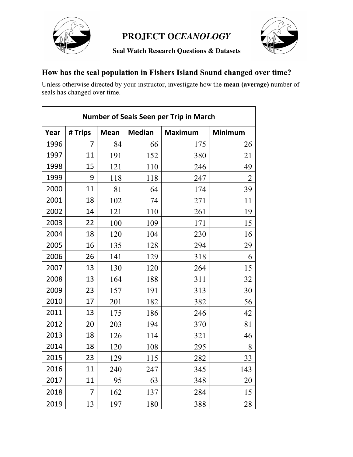

**Seal Watch Research Questions & Datasets**



### **How has the seal population in Fishers Island Sound changed over time?**

Unless otherwise directed by your instructor, investigate how the **mean (average)** number of seals has changed over time.

| <b>Number of Seals Seen per Trip in March</b> |         |             |               |                |                |
|-----------------------------------------------|---------|-------------|---------------|----------------|----------------|
| Year                                          | # Trips | <b>Mean</b> | <b>Median</b> | <b>Maximum</b> | Minimum        |
| 1996                                          | 7       | 84          | 66            | 175            | 26             |
| 1997                                          | 11      | 191         | 152           | 380            | 21             |
| 1998                                          | 15      | 121         | 110           | 246            | 49             |
| 1999                                          | 9       | 118         | 118           | 247            | $\overline{2}$ |
| 2000                                          | 11      | 81          | 64            | 174            | 39             |
| 2001                                          | 18      | 102         | 74            | 271            | 11             |
| 2002                                          | 14      | 121         | 110           | 261            | 19             |
| 2003                                          | 22      | 100         | 109           | 171            | 15             |
| 2004                                          | 18      | 120         | 104           | 230            | 16             |
| 2005                                          | 16      | 135         | 128           | 294            | 29             |
| 2006                                          | 26      | 141         | 129           | 318            | 6              |
| 2007                                          | 13      | 130         | 120           | 264            | 15             |
| 2008                                          | 13      | 164         | 188           | 311            | 32             |
| 2009                                          | 23      | 157         | 191           | 313            | 30             |
| 2010                                          | 17      | 201         | 182           | 382            | 56             |
| 2011                                          | 13      | 175         | 186           | 246            | 42             |
| 2012                                          | 20      | 203         | 194           | 370            | 81             |
| 2013                                          | 18      | 126         | 114           | 321            | 46             |
| 2014                                          | 18      | 120         | 108           | 295            | 8              |
| 2015                                          | 23      | 129         | 115           | 282            | 33             |
| 2016                                          | 11      | 240         | 247           | 345            | 143            |
| 2017                                          | 11      | 95          | 63            | 348            | 20             |
| 2018                                          | 7       | 162         | 137           | 284            | 15             |
| 2019                                          | 13      | 197         | 180           | 388            | 28             |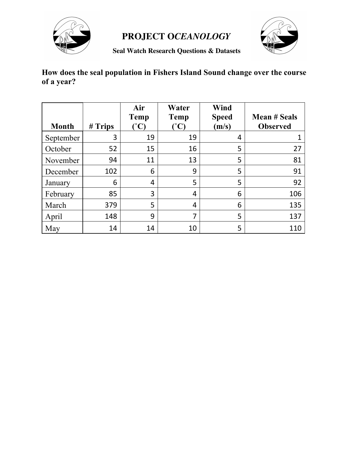



**Seal Watch Research Questions & Datasets**

### **How does the seal population in Fishers Island Sound change over the course of a year?**

| <b>Month</b> | # Trips | Air<br><b>Temp</b><br>$\int^{\circ}$ C) | Water<br><b>Temp</b><br>$\mathcal{C}^{\circ}$ | Wind<br><b>Speed</b><br>(m/s) | <b>Mean # Seals</b><br><b>Observed</b> |
|--------------|---------|-----------------------------------------|-----------------------------------------------|-------------------------------|----------------------------------------|
| September    | 3       | 19                                      | 19                                            | 4                             |                                        |
| October      | 52      | 15                                      | 16                                            | 5                             | 27                                     |
| November     | 94      | 11                                      | 13                                            | 5                             | 81                                     |
| December     | 102     | 6                                       | 9                                             | 5                             | 91                                     |
| January      | 6       | 4                                       | 5                                             | 5                             | 92                                     |
| February     | 85      | 3                                       | 4                                             | 6                             | 106                                    |
| March        | 379     | 5                                       | 4                                             | 6                             | 135                                    |
| April        | 148     | 9                                       | 7                                             | 5                             | 137                                    |
| May          | 14      | 14                                      | 10                                            | 5                             | 110                                    |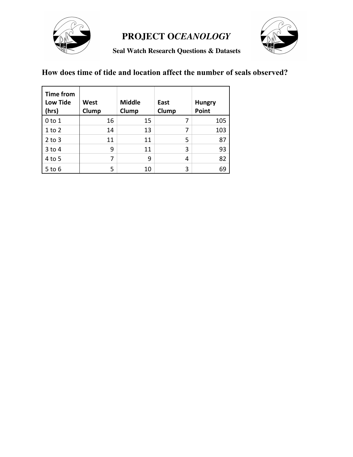



**Seal Watch Research Questions & Datasets**

#### **How does time of tide and location affect the number of seals observed?**

| <b>Time from</b><br><b>Low Tide</b><br>(hrs) | <b>West</b><br>Clump | <b>Middle</b><br>Clump | East<br>Clump | <b>Hungry</b><br>Point |
|----------------------------------------------|----------------------|------------------------|---------------|------------------------|
| 0 to 1                                       | 16                   | 15                     |               | 105                    |
| $1$ to $2$                                   | 14                   | 13                     | 7             | 103                    |
| $2$ to $3$                                   | 11                   | 11                     | 5             | 87                     |
| $3$ to 4                                     | 9                    | 11                     | 3             | 93                     |
| 4 to 5                                       | 7                    | 9                      | 4             | 82                     |
| $5$ to $6$                                   | 5                    | 10                     | 3             | 69                     |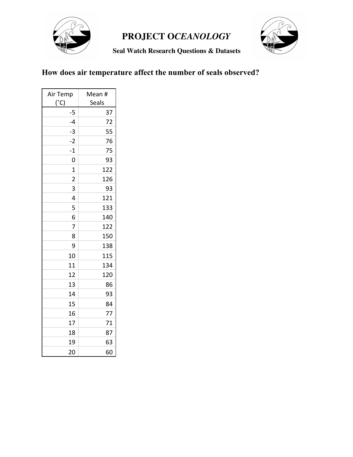

**Seal Watch Research Questions & Datasets**



### **How does air temperature affect the number of seals observed?**

| Air Temp<br>$(^{\circ}C)$ | Mean #<br>Seals |  |
|---------------------------|-----------------|--|
| $-5$                      | 37              |  |
| $-4$                      | 72              |  |
| $-3$                      | 55              |  |
| $-2$                      | 76              |  |
| $-1$                      | 75              |  |
| 0                         | 93              |  |
| $\overline{1}$            | 122             |  |
| $\overline{2}$            | 126             |  |
| 3                         | 93              |  |
| 4                         | 121             |  |
| 5                         | 133             |  |
| 6                         | 140             |  |
| $\overline{7}$            | 122             |  |
| 8                         | 150             |  |
| 9                         | 138             |  |
| 10                        | 115             |  |
| 11                        | 134             |  |
| 12                        | 120             |  |
| 13                        | 86              |  |
| 14                        | 93              |  |
| 15                        | 84              |  |
| 16                        | 77              |  |
| 17                        | 71              |  |
| 18                        | 87              |  |
| 19                        | 63              |  |
| 20                        | 60              |  |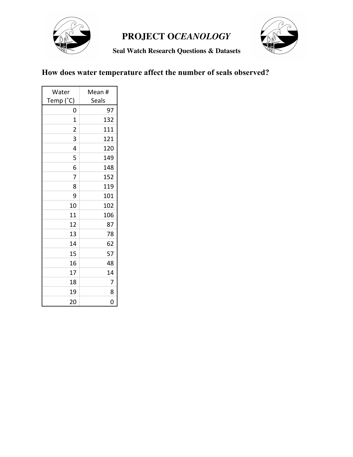

**Seal Watch Research Questions & Datasets**



## **How does water temperature affect the number of seals observed?**

| Water                   | Mean # |
|-------------------------|--------|
| Temp (°C)               | Seals  |
| 0                       | 97     |
| $\overline{1}$          | 132    |
| $\overline{\mathbf{c}}$ | 111    |
| 3                       | 121    |
| 4                       | 120    |
| 5                       | 149    |
| 6                       | 148    |
| 7                       | 152    |
| 8                       | 119    |
| 9                       | 101    |
| 10                      | 102    |
| 11                      | 106    |
| 12                      | 87     |
| 13                      | 78     |
| 14                      | 62     |
| 15                      | 57     |
| 16                      | 48     |
| 17                      | 14     |
| 18                      | 7      |
| 19                      | 8      |
| 20                      | Ó      |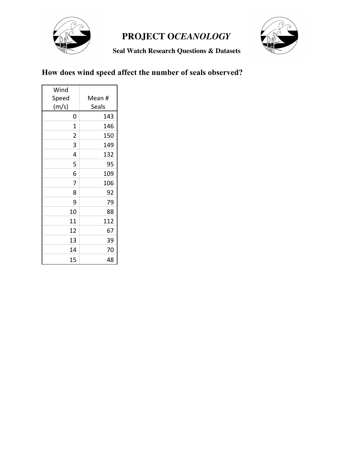

**Seal Watch Research Questions & Datasets**



### **How does wind speed affect the number of seals observed?**

| Wind           |        |
|----------------|--------|
| Speed          | Mean # |
| (m/s)          | Seals  |
| 0              | 143    |
| $\overline{1}$ | 146    |
| $\overline{2}$ | 150    |
| 3              | 149    |
| 4              | 132    |
| 5              | 95     |
| 6              | 109    |
| 7              | 106    |
| 8              | 92     |
| 9              | 79     |
| 10             | 88     |
| 11             | 112    |
| 12             | 67     |
| 13             | 39     |
| 14             | 70     |
| 15             | 48     |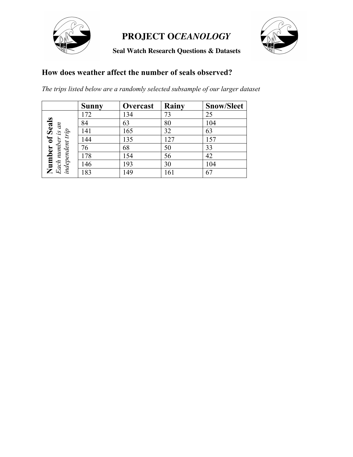

**Seal Watch Research Questions & Datasets**



#### **How does weather affect the number of seals observed?**

*The trips listed below are a randomly selected subsample of our larger dataset*

|                                                         | <b>Sunny</b> | Overcast | Rainy | <b>Snow/Sleet</b> |
|---------------------------------------------------------|--------------|----------|-------|-------------------|
|                                                         | 172          | 134      | 73    | 25                |
| $\overline{m}$                                          | 84           | 63       | 80    | 104               |
|                                                         | 141          | 165      | 32    | 63                |
| Number of Seals<br>Each number is a<br>independent trip | 144          | 135      | 127   | 157               |
|                                                         | 76           | 68       | 50    | 33                |
|                                                         | 178          | 154      | 56    | 42                |
|                                                         | 146          | 193      | 30    | 104               |
|                                                         | 183          | 149      | 161   | 67                |